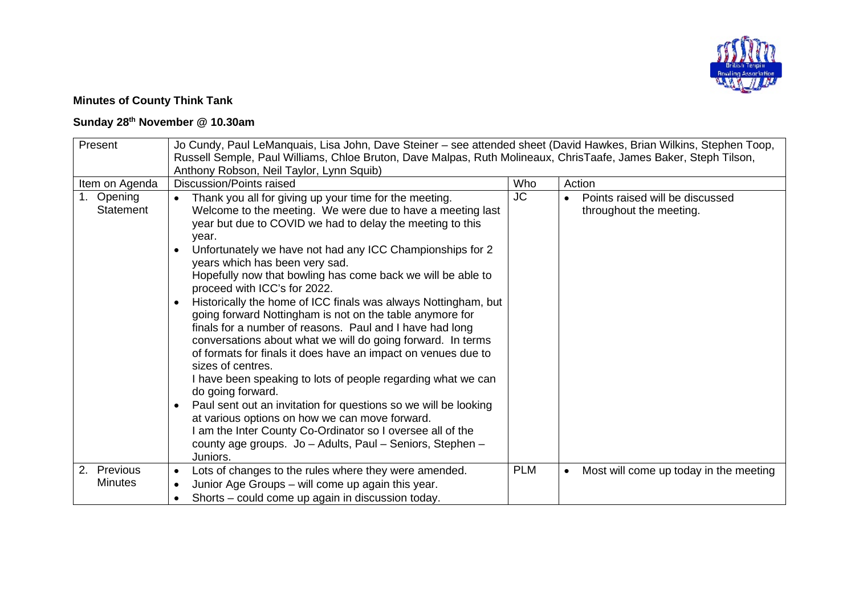

## **Minutes of County Think Tank**

## **Sunday 28th November @ 10.30am**

| Present                           | Jo Cundy, Paul LeManquais, Lisa John, Dave Steiner – see attended sheet (David Hawkes, Brian Wilkins, Stephen Toop,                                                                                                                                                                                                                                                                                                                                                                                                                                                                                                                                                                                                                                                                                                                                                                                                                                                                                                                                                                                              |            |                                                            |  |  |
|-----------------------------------|------------------------------------------------------------------------------------------------------------------------------------------------------------------------------------------------------------------------------------------------------------------------------------------------------------------------------------------------------------------------------------------------------------------------------------------------------------------------------------------------------------------------------------------------------------------------------------------------------------------------------------------------------------------------------------------------------------------------------------------------------------------------------------------------------------------------------------------------------------------------------------------------------------------------------------------------------------------------------------------------------------------------------------------------------------------------------------------------------------------|------------|------------------------------------------------------------|--|--|
|                                   | Russell Semple, Paul Williams, Chloe Bruton, Dave Malpas, Ruth Molineaux, ChrisTaafe, James Baker, Steph Tilson,                                                                                                                                                                                                                                                                                                                                                                                                                                                                                                                                                                                                                                                                                                                                                                                                                                                                                                                                                                                                 |            |                                                            |  |  |
|                                   | Anthony Robson, Neil Taylor, Lynn Squib)                                                                                                                                                                                                                                                                                                                                                                                                                                                                                                                                                                                                                                                                                                                                                                                                                                                                                                                                                                                                                                                                         |            |                                                            |  |  |
| Item on Agenda                    | <b>Discussion/Points raised</b>                                                                                                                                                                                                                                                                                                                                                                                                                                                                                                                                                                                                                                                                                                                                                                                                                                                                                                                                                                                                                                                                                  | Who        | Action                                                     |  |  |
| Opening<br>1.<br><b>Statement</b> | Thank you all for giving up your time for the meeting.<br>Welcome to the meeting. We were due to have a meeting last<br>year but due to COVID we had to delay the meeting to this<br>vear.<br>Unfortunately we have not had any ICC Championships for 2<br>$\bullet$<br>years which has been very sad.<br>Hopefully now that bowling has come back we will be able to<br>proceed with ICC's for 2022.<br>Historically the home of ICC finals was always Nottingham, but<br>$\bullet$<br>going forward Nottingham is not on the table anymore for<br>finals for a number of reasons. Paul and I have had long<br>conversations about what we will do going forward. In terms<br>of formats for finals it does have an impact on venues due to<br>sizes of centres.<br>I have been speaking to lots of people regarding what we can<br>do going forward.<br>Paul sent out an invitation for questions so we will be looking<br>at various options on how we can move forward.<br>am the Inter County Co-Ordinator so I oversee all of the<br>county age groups. Jo - Adults, Paul - Seniors, Stephen -<br>Juniors. | <b>JC</b>  | Points raised will be discussed<br>throughout the meeting. |  |  |
| 2. Previous                       | Lots of changes to the rules where they were amended.<br>$\bullet$                                                                                                                                                                                                                                                                                                                                                                                                                                                                                                                                                                                                                                                                                                                                                                                                                                                                                                                                                                                                                                               | <b>PLM</b> | Most will come up today in the meeting<br>$\bullet$        |  |  |
| <b>Minutes</b>                    | Junior Age Groups - will come up again this year.                                                                                                                                                                                                                                                                                                                                                                                                                                                                                                                                                                                                                                                                                                                                                                                                                                                                                                                                                                                                                                                                |            |                                                            |  |  |
|                                   | Shorts – could come up again in discussion today.                                                                                                                                                                                                                                                                                                                                                                                                                                                                                                                                                                                                                                                                                                                                                                                                                                                                                                                                                                                                                                                                |            |                                                            |  |  |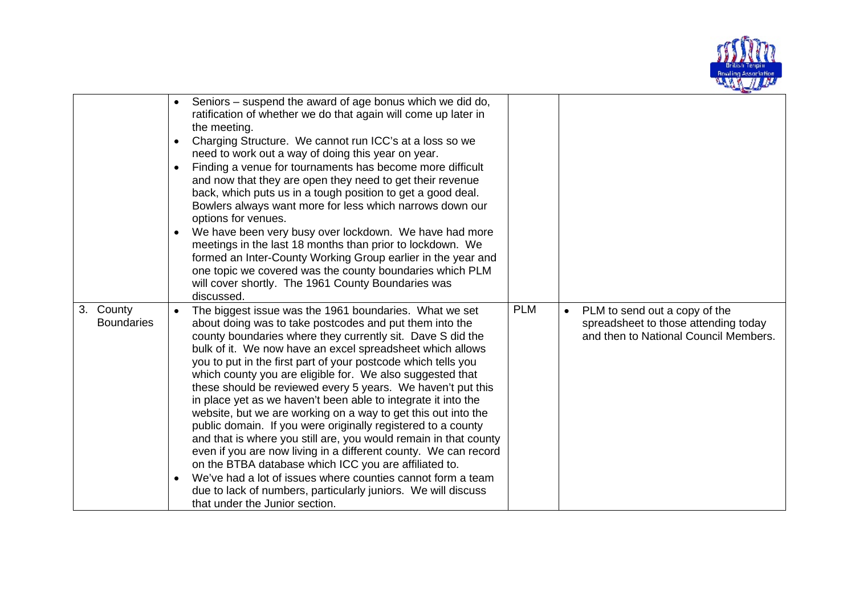

|                                | $\bullet$<br>$\bullet$ | Seniors – suspend the award of age bonus which we did do,<br>ratification of whether we do that again will come up later in<br>the meeting.<br>Charging Structure. We cannot run ICC's at a loss so we<br>need to work out a way of doing this year on year.                                                                                                                                                                                                                                                                                                                                                                                                                                                                                                                                                                                                                                                                                                                                                  |            |                                                                                                                |
|--------------------------------|------------------------|---------------------------------------------------------------------------------------------------------------------------------------------------------------------------------------------------------------------------------------------------------------------------------------------------------------------------------------------------------------------------------------------------------------------------------------------------------------------------------------------------------------------------------------------------------------------------------------------------------------------------------------------------------------------------------------------------------------------------------------------------------------------------------------------------------------------------------------------------------------------------------------------------------------------------------------------------------------------------------------------------------------|------------|----------------------------------------------------------------------------------------------------------------|
|                                | $\bullet$              | Finding a venue for tournaments has become more difficult<br>and now that they are open they need to get their revenue<br>back, which puts us in a tough position to get a good deal.<br>Bowlers always want more for less which narrows down our<br>options for venues.                                                                                                                                                                                                                                                                                                                                                                                                                                                                                                                                                                                                                                                                                                                                      |            |                                                                                                                |
|                                | $\bullet$              | We have been very busy over lockdown. We have had more<br>meetings in the last 18 months than prior to lockdown. We<br>formed an Inter-County Working Group earlier in the year and<br>one topic we covered was the county boundaries which PLM<br>will cover shortly. The 1961 County Boundaries was<br>discussed.                                                                                                                                                                                                                                                                                                                                                                                                                                                                                                                                                                                                                                                                                           |            |                                                                                                                |
| 3. County<br><b>Boundaries</b> | $\bullet$<br>$\bullet$ | The biggest issue was the 1961 boundaries. What we set<br>about doing was to take postcodes and put them into the<br>county boundaries where they currently sit. Dave S did the<br>bulk of it. We now have an excel spreadsheet which allows<br>you to put in the first part of your postcode which tells you<br>which county you are eligible for. We also suggested that<br>these should be reviewed every 5 years. We haven't put this<br>in place yet as we haven't been able to integrate it into the<br>website, but we are working on a way to get this out into the<br>public domain. If you were originally registered to a county<br>and that is where you still are, you would remain in that county<br>even if you are now living in a different county. We can record<br>on the BTBA database which ICC you are affiliated to.<br>We've had a lot of issues where counties cannot form a team<br>due to lack of numbers, particularly juniors. We will discuss<br>that under the Junior section. | <b>PLM</b> | PLM to send out a copy of the<br>spreadsheet to those attending today<br>and then to National Council Members. |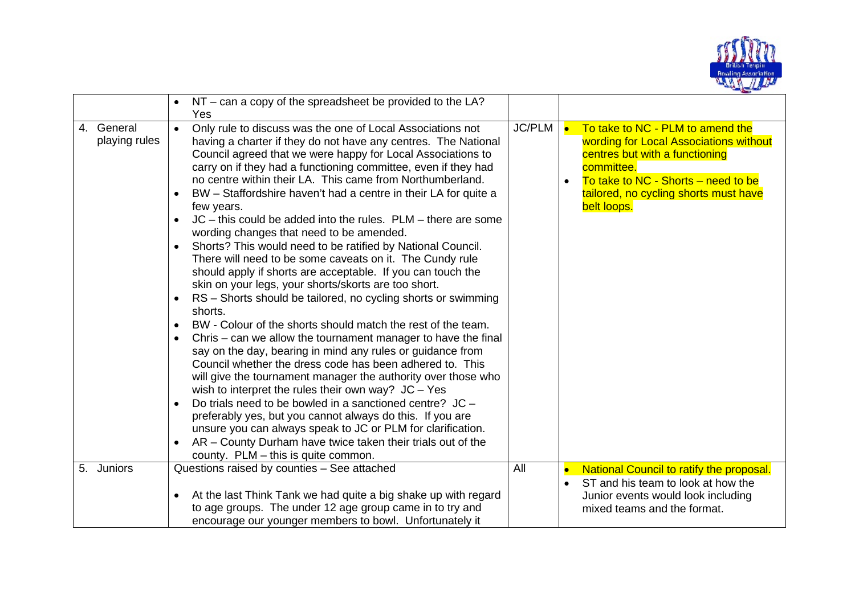

| JC/PLM<br>4. General<br>Only rule to discuss was the one of Local Associations not<br><b>le</b><br>$\bullet$<br>playing rules<br>having a charter if they do not have any centres. The National<br>Council agreed that we were happy for Local Associations to<br>centres but with a functioning<br>carry on if they had a functioning committee, even if they had<br>committee.<br>no centre within their LA. This came from Northumberland.<br>BW – Staffordshire haven't had a centre in their LA for quite a<br>$\bullet$<br>belt loops.<br>few years.<br>$JC - this could be added into the rules. PLM - there are some$<br>$\bullet$<br>wording changes that need to be amended.<br>Shorts? This would need to be ratified by National Council.<br>$\bullet$<br>There will need to be some caveats on it. The Cundy rule<br>should apply if shorts are acceptable. If you can touch the<br>skin on your legs, your shorts/skorts are too short.<br>RS - Shorts should be tailored, no cycling shorts or swimming<br>$\bullet$<br>shorts.<br>BW - Colour of the shorts should match the rest of the team.<br>$\bullet$<br>Chris – can we allow the tournament manager to have the final<br>say on the day, bearing in mind any rules or guidance from<br>Council whether the dress code has been adhered to. This<br>will give the tournament manager the authority over those who<br>wish to interpret the rules their own way? $JC - Yes$<br>Do trials need to be bowled in a sanctioned centre? JC -<br>$\bullet$<br>preferably yes, but you cannot always do this. If you are<br>unsure you can always speak to JC or PLM for clarification.<br>AR - County Durham have twice taken their trials out of the<br>$\bullet$<br>county. PLM – this is quite common.<br>Questions raised by counties - See attached<br>All<br>5. Juniors<br>National Council to ratify the proposal. | NT – can a copy of the spreadsheet be provided to the LA?<br>Yes |                                                                                                                                                            |
|------------------------------------------------------------------------------------------------------------------------------------------------------------------------------------------------------------------------------------------------------------------------------------------------------------------------------------------------------------------------------------------------------------------------------------------------------------------------------------------------------------------------------------------------------------------------------------------------------------------------------------------------------------------------------------------------------------------------------------------------------------------------------------------------------------------------------------------------------------------------------------------------------------------------------------------------------------------------------------------------------------------------------------------------------------------------------------------------------------------------------------------------------------------------------------------------------------------------------------------------------------------------------------------------------------------------------------------------------------------------------------------------------------------------------------------------------------------------------------------------------------------------------------------------------------------------------------------------------------------------------------------------------------------------------------------------------------------------------------------------------------------------------------------------------------------------------------------------------------------------------------------|------------------------------------------------------------------|------------------------------------------------------------------------------------------------------------------------------------------------------------|
|                                                                                                                                                                                                                                                                                                                                                                                                                                                                                                                                                                                                                                                                                                                                                                                                                                                                                                                                                                                                                                                                                                                                                                                                                                                                                                                                                                                                                                                                                                                                                                                                                                                                                                                                                                                                                                                                                          |                                                                  | To take to NC - PLM to amend the<br>wording for Local Associations without<br>To take to NC - Shorts – need to be<br>tailored, no cycling shorts must have |
| $\bullet$<br>to age groups. The under 12 age group came in to try and<br>mixed teams and the format.<br>encourage our younger members to bowl. Unfortunately it                                                                                                                                                                                                                                                                                                                                                                                                                                                                                                                                                                                                                                                                                                                                                                                                                                                                                                                                                                                                                                                                                                                                                                                                                                                                                                                                                                                                                                                                                                                                                                                                                                                                                                                          | At the last Think Tank we had quite a big shake up with regard   | ST and his team to look at how the<br>Junior events would look including                                                                                   |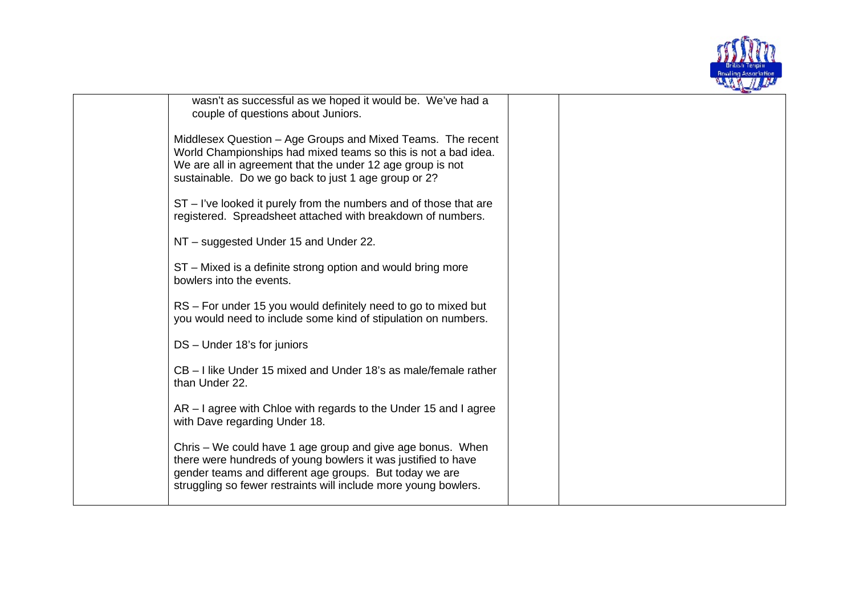

wasn't as successful as we hoped it would be. We've had a couple of questions about Juniors.

Middlesex Question – Age Groups and Mixed Teams. The recent World Championships had mixed teams so this is not a bad idea. We are all in agreement that the under 12 age group is not sustainable. Do we go back to just 1 age group or 2?

ST – I've looked it purely from the numbers and of those that are registered. Spreadsheet attached with breakdown of numbers.

NT – suggested Under 15 and Under 22.

ST – Mixed is a definite strong option and would bring more bowlers into the events.

RS – For under 15 you would definitely need to go to mixed but you would need to include some kind of stipulation on numbers.

DS – Under 18's for juniors

CB – I like Under 15 mixed and Under 18's as male/female rather than Under 22.

AR – I agree with Chloe with regards to the Under 15 and I agree with Dave regarding Under 18.

Chris – We could have 1 age group and give age bonus. When there were hundreds of young bowlers it was justified to have gender teams and different age groups. But today we are struggling so fewer restraints will include more young bowlers.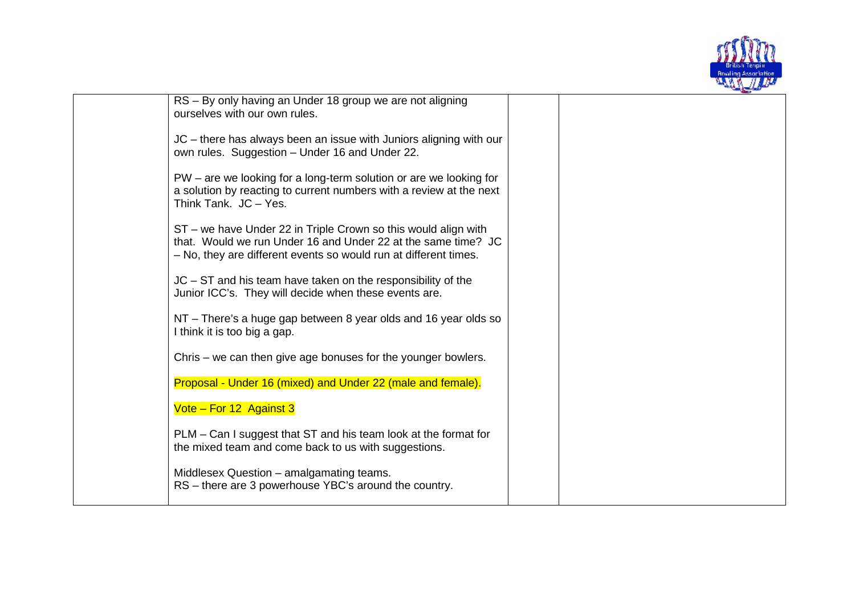

| RS - By only having an Under 18 group we are not aligning<br>ourselves with our own rules.                                                                                                          |  |
|-----------------------------------------------------------------------------------------------------------------------------------------------------------------------------------------------------|--|
| JC – there has always been an issue with Juniors aligning with our<br>own rules. Suggestion - Under 16 and Under 22.                                                                                |  |
| PW – are we looking for a long-term solution or are we looking for<br>a solution by reacting to current numbers with a review at the next<br>Think Tank. JC - Yes.                                  |  |
| ST – we have Under 22 in Triple Crown so this would align with<br>that. Would we run Under 16 and Under 22 at the same time? JC<br>- No, they are different events so would run at different times. |  |
| $JC - ST$ and his team have taken on the responsibility of the<br>Junior ICC's. They will decide when these events are.                                                                             |  |
| NT – There's a huge gap between 8 year olds and 16 year olds so<br>I think it is too big a gap.                                                                                                     |  |
| Chris – we can then give age bonuses for the younger bowlers.                                                                                                                                       |  |
| Proposal - Under 16 (mixed) and Under 22 (male and female).                                                                                                                                         |  |
| Vote - For 12 Against 3                                                                                                                                                                             |  |
| PLM – Can I suggest that ST and his team look at the format for<br>the mixed team and come back to us with suggestions.                                                                             |  |
| Middlesex Question - amalgamating teams.<br>RS - there are 3 powerhouse YBC's around the country.                                                                                                   |  |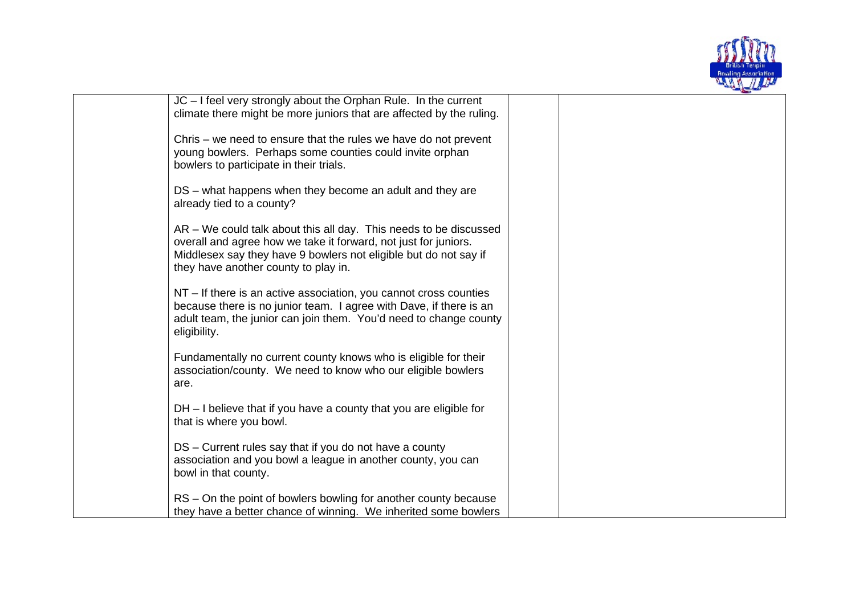

| JC - I feel very strongly about the Orphan Rule. In the current<br>climate there might be more juniors that are affected by the ruling.                                                                                                          |  |  |
|--------------------------------------------------------------------------------------------------------------------------------------------------------------------------------------------------------------------------------------------------|--|--|
| Chris – we need to ensure that the rules we have do not prevent<br>young bowlers. Perhaps some counties could invite orphan<br>bowlers to participate in their trials.                                                                           |  |  |
| DS – what happens when they become an adult and they are<br>already tied to a county?                                                                                                                                                            |  |  |
| AR – We could talk about this all day. This needs to be discussed<br>overall and agree how we take it forward, not just for juniors.<br>Middlesex say they have 9 bowlers not eligible but do not say if<br>they have another county to play in. |  |  |
| NT – If there is an active association, you cannot cross counties<br>because there is no junior team. I agree with Dave, if there is an<br>adult team, the junior can join them. You'd need to change county<br>eligibility.                     |  |  |
| Fundamentally no current county knows who is eligible for their<br>association/county. We need to know who our eligible bowlers<br>are.                                                                                                          |  |  |
| $DH - I$ believe that if you have a county that you are eligible for<br>that is where you bowl.                                                                                                                                                  |  |  |
| DS - Current rules say that if you do not have a county<br>association and you bowl a league in another county, you can<br>bowl in that county.                                                                                                  |  |  |
| RS – On the point of bowlers bowling for another county because<br>they have a better chance of winning. We inherited some bowlers                                                                                                               |  |  |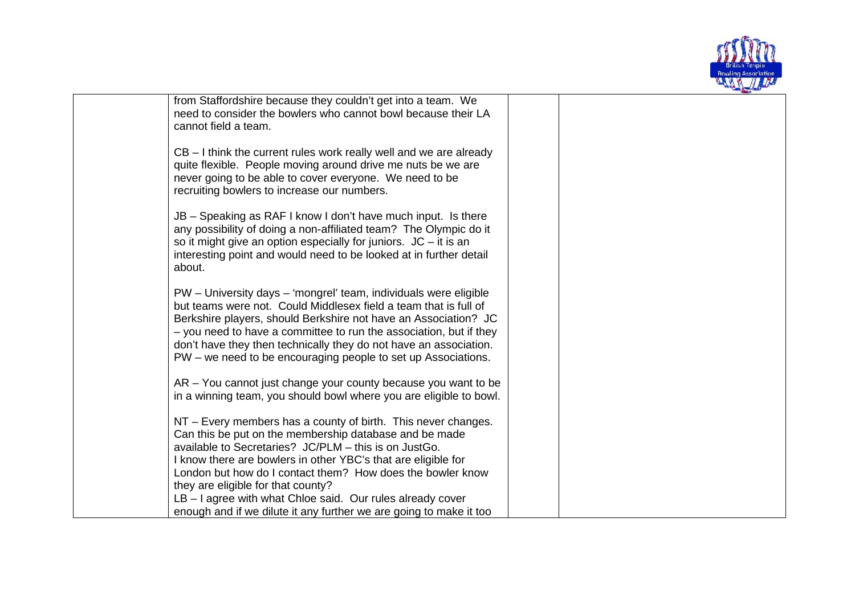

from Staffordshire because they couldn't get into a team. We need to consider the bowlers who cannot bowl because their LA cannot field a team.

CB – I think the current rules work really well and we are already quite flexible. People moving around drive me nuts be we are never going to be able to cover everyone. We need to be recruiting bowlers to increase our numbers.

JB – Speaking as RAF I know I don't have much input. Is there any possibility of doing a non-affiliated team? The Olympic do it so it might give an option especially for juniors.  $JC - it$  is an interesting point and would need to be looked at in further detail about.

PW – University days – 'mongrel' team, individuals were eligible but teams were not. Could Middlesex field a team that is full of Berkshire players, should Berkshire not have an Association? JC – you need to have a committee to run the association, but if they don't have they then technically they do not have an association. PW – we need to be encouraging people to set up Associations.

AR – You cannot just change your county because you want to be in a winning team, you should bowl where you are eligible to bowl.

NT – Every members has a county of birth. This never changes. Can this be put on the membership database and be made available to Secretaries? JC/PLM – this is on JustGo. I know there are bowlers in other YBC's that are eligible for London but how do I contact them? How does the bowler know they are eligible for that county? LB – I agree with what Chloe said. Our rules already cover

enough and if we dilute it any further we are going to make it too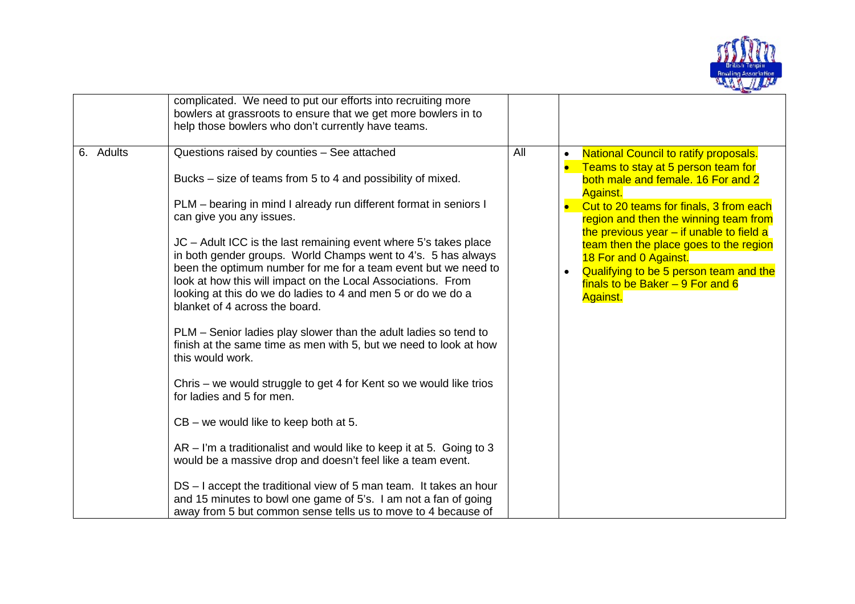

|           | complicated. We need to put our efforts into recruiting more<br>bowlers at grassroots to ensure that we get more bowlers in to<br>help those bowlers who don't currently have teams.                                                                                                                                                                                                                                                                                                                                                                                                                                                                                                                                                                                                                                                                                                                                                                                                                                                                                                                                                                                                                                                               |     |                                                                                                                                                                                                                                                                                                                                                                                                                                             |
|-----------|----------------------------------------------------------------------------------------------------------------------------------------------------------------------------------------------------------------------------------------------------------------------------------------------------------------------------------------------------------------------------------------------------------------------------------------------------------------------------------------------------------------------------------------------------------------------------------------------------------------------------------------------------------------------------------------------------------------------------------------------------------------------------------------------------------------------------------------------------------------------------------------------------------------------------------------------------------------------------------------------------------------------------------------------------------------------------------------------------------------------------------------------------------------------------------------------------------------------------------------------------|-----|---------------------------------------------------------------------------------------------------------------------------------------------------------------------------------------------------------------------------------------------------------------------------------------------------------------------------------------------------------------------------------------------------------------------------------------------|
| 6. Adults | Questions raised by counties - See attached<br>Bucks – size of teams from 5 to 4 and possibility of mixed.<br>PLM - bearing in mind I already run different format in seniors I<br>can give you any issues.<br>JC – Adult ICC is the last remaining event where 5's takes place<br>in both gender groups. World Champs went to 4's. 5 has always<br>been the optimum number for me for a team event but we need to<br>look at how this will impact on the Local Associations. From<br>looking at this do we do ladies to 4 and men 5 or do we do a<br>blanket of 4 across the board.<br>PLM - Senior ladies play slower than the adult ladies so tend to<br>finish at the same time as men with 5, but we need to look at how<br>this would work.<br>Chris – we would struggle to get 4 for Kent so we would like trios<br>for ladies and 5 for men.<br>$CB -$ we would like to keep both at 5.<br>$AR - I'm$ a traditionalist and would like to keep it at 5. Going to 3<br>would be a massive drop and doesn't feel like a team event.<br>DS – I accept the traditional view of 5 man team. It takes an hour<br>and 15 minutes to bowl one game of 5's. I am not a fan of going<br>away from 5 but common sense tells us to move to 4 because of | All | <b>National Council to ratify proposals.</b><br>Teams to stay at 5 person team for<br>both male and female. 16 For and 2<br><b>Against.</b><br>Cut to 20 teams for finals, 3 from each<br>region and then the winning team from<br>the previous year $-$ if unable to field a<br>team then the place goes to the region<br>18 For and 0 Against.<br>Qualifying to be 5 person team and the<br>finals to be Baker $-9$ For and 6<br>Against. |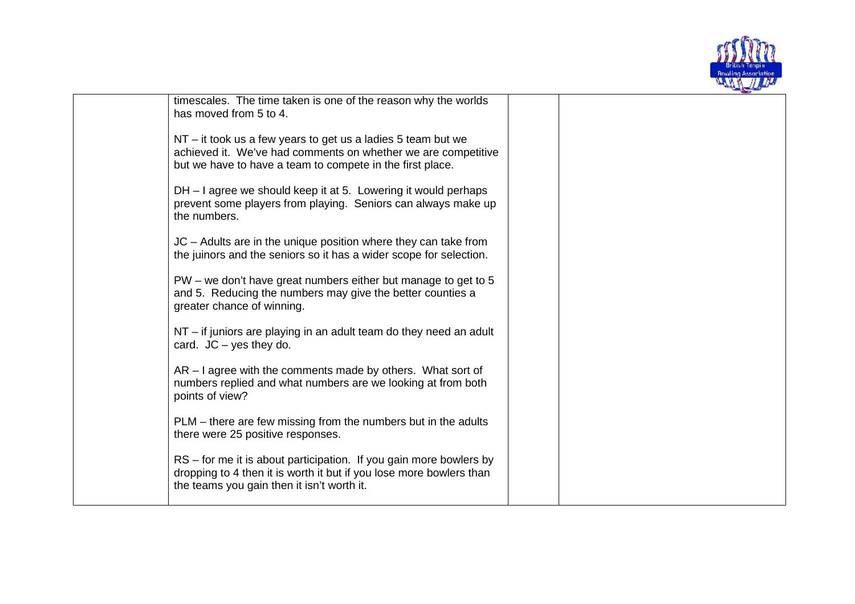

timescales. The time taken is one of the reason why the worlds has moved from 5 to 4.

NT – it took us a few years to get us a ladies 5 team but we achieved it. We've had comments on whether we are competitive but we have to have a team to compete in the first place.

DH – I agree we should keep it at 5. Lowering it would perhaps prevent some players from playing. Seniors can always make up the numbers.

JC – Adults are in the unique position where they can take from the juinors and the seniors so it has a wider scope for selection.

PW – we don't have great numbers either but manage to get to 5 and 5. Reducing the numbers may give the better counties a greater chance of winning.

NT – if juniors are playing in an adult team do they need an adult card. JC – yes they do.

AR – I agree with the comments made by others. What sort of numbers replied and what numbers are we looking at from both points of view?

PLM – there are few missing from the numbers but in the adults there were 25 positive responses.

RS – for me it is about participation. If you gain more bowlers by dropping to 4 then it is worth it but if you lose more bowlers than the teams you gain then it isn't worth it.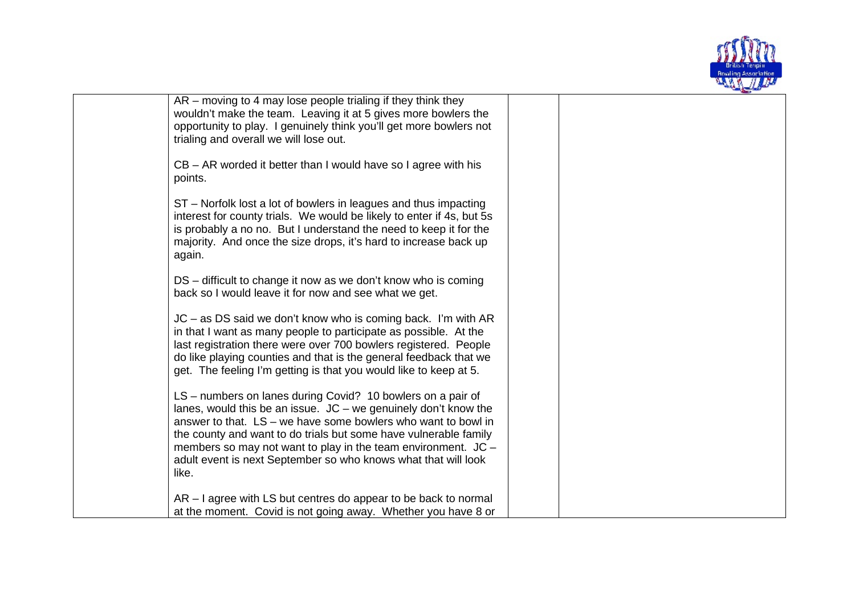

AR – moving to 4 may lose people trialing if they think they wouldn't make the team. Leaving it at 5 gives more bowlers the opportunity to play. I genuinely think you'll get more bowlers not trialing and overall we will lose out. CB – AR worded it better than I would have so I agree with his points. ST – Norfolk lost a lot of bowlers in leagues and thus impacting interest for county trials. We would be likely to enter if 4s, but 5s is probably a no no. But I understand the need to keep it for the majority. And once the size drops, it's hard to increase back up again. DS – difficult to change it now as we don't know who is coming back so I would leave it for now and see what we get. JC – as DS said we don't know who is coming back. I'm with AR in that I want as many people to participate as possible. At the last registration there were over 700 bowlers registered. People do like playing counties and that is the general feedback that we get. The feeling I'm getting is that you would like to keep at 5. LS – numbers on lanes during Covid? 10 bowlers on a pair of lanes, would this be an issue. JC – we genuinely don't know the answer to that. LS – we have some bowlers who want to bowl in the county and want to do trials but some have vulnerable family members so may not want to play in the team environment.  $JC$ adult event is next September so who knows what that will look like. AR – I agree with LS but centres do appear to be back to normal at the moment. Covid is not going away. Whether you have 8 or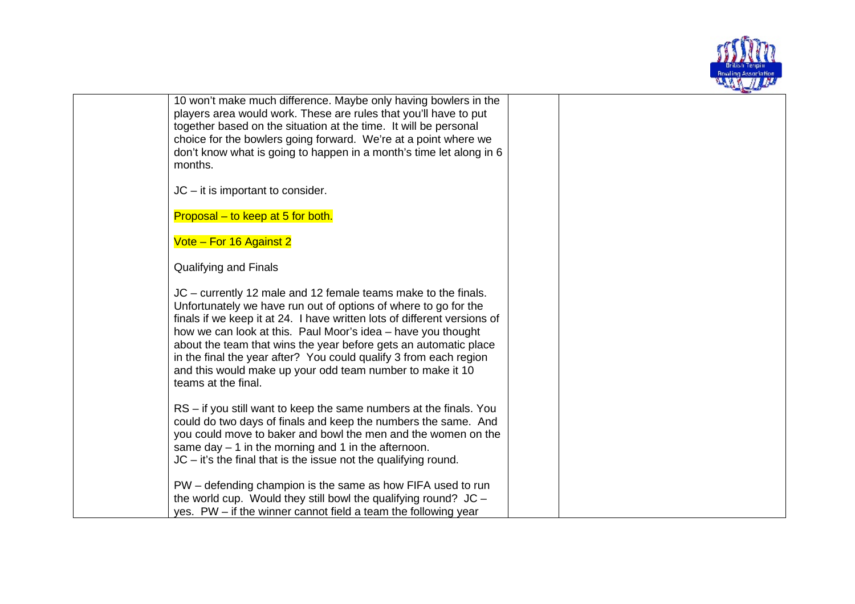

10 won't make much difference. Maybe only having bowlers in the players area would work. These are rules that you'll have to put together based on the situation at the time. It will be personal choice for the bowlers going forward. We're at a point where we don't know what is going to happen in a month's time let along in 6 months.

JC – it is important to consider.

Proposal – to keep at 5 for both.

Vote – For 16 Against 2

Qualifying and Finals

JC – currently 12 male and 12 female teams make to the finals. Unfortunately we have run out of options of where to go for the finals if we keep it at 24. I have written lots of different versions of how we can look at this. Paul Moor's idea – have you thought about the team that wins the year before gets an automatic place in the final the year after? You could qualify 3 from each region and this would make up your odd team number to make it 10 teams at the final.

RS – if you still want to keep the same numbers at the finals. You could do two days of finals and keep the numbers the same. And you could move to baker and bowl the men and the women on the same day  $-1$  in the morning and 1 in the afternoon. JC – it's the final that is the issue not the qualifying round.

PW – defending champion is the same as how FIFA used to run the world cup. Would they still bowl the qualifying round?  $JC$ yes. PW – if the winner cannot field a team the following year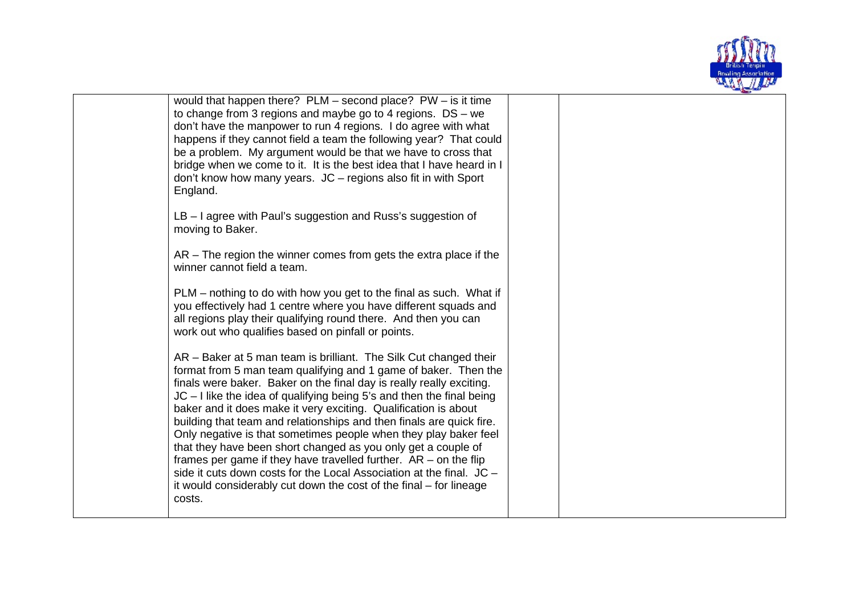

| would that happen there? $PLM -$ second place? $PW -$ is it time<br>to change from 3 regions and maybe go to 4 regions. $DS - we$<br>don't have the manpower to run 4 regions. I do agree with what<br>happens if they cannot field a team the following year? That could<br>be a problem. My argument would be that we have to cross that<br>bridge when we come to it. It is the best idea that I have heard in I<br>don't know how many years. JC - regions also fit in with Sport<br>England.<br>LB - I agree with Paul's suggestion and Russ's suggestion of<br>moving to Baker.<br>$AR$ – The region the winner comes from gets the extra place if the<br>winner cannot field a team.<br>PLM – nothing to do with how you get to the final as such. What if<br>you effectively had 1 centre where you have different squads and<br>all regions play their qualifying round there. And then you can<br>work out who qualifies based on pinfall or points.<br>AR - Baker at 5 man team is brilliant. The Silk Cut changed their<br>format from 5 man team qualifying and 1 game of baker. Then the<br>finals were baker. Baker on the final day is really really exciting.<br>$JC - I$ like the idea of qualifying being 5's and then the final being<br>baker and it does make it very exciting. Qualification is about<br>building that team and relationships and then finals are quick fire.<br>Only negative is that sometimes people when they play baker feel<br>that they have been short changed as you only get a couple of<br>frames per game if they have travelled further. $AR - on$ the flip<br>side it cuts down costs for the Local Association at the final. JC -<br>it would considerably cut down the cost of the final – for lineage<br>costs. |  |  |  |
|-------------------------------------------------------------------------------------------------------------------------------------------------------------------------------------------------------------------------------------------------------------------------------------------------------------------------------------------------------------------------------------------------------------------------------------------------------------------------------------------------------------------------------------------------------------------------------------------------------------------------------------------------------------------------------------------------------------------------------------------------------------------------------------------------------------------------------------------------------------------------------------------------------------------------------------------------------------------------------------------------------------------------------------------------------------------------------------------------------------------------------------------------------------------------------------------------------------------------------------------------------------------------------------------------------------------------------------------------------------------------------------------------------------------------------------------------------------------------------------------------------------------------------------------------------------------------------------------------------------------------------------------------------------------------------------------------------------------------------------------------------------------------|--|--|--|
|                                                                                                                                                                                                                                                                                                                                                                                                                                                                                                                                                                                                                                                                                                                                                                                                                                                                                                                                                                                                                                                                                                                                                                                                                                                                                                                                                                                                                                                                                                                                                                                                                                                                                                                                                                         |  |  |  |
|                                                                                                                                                                                                                                                                                                                                                                                                                                                                                                                                                                                                                                                                                                                                                                                                                                                                                                                                                                                                                                                                                                                                                                                                                                                                                                                                                                                                                                                                                                                                                                                                                                                                                                                                                                         |  |  |  |
|                                                                                                                                                                                                                                                                                                                                                                                                                                                                                                                                                                                                                                                                                                                                                                                                                                                                                                                                                                                                                                                                                                                                                                                                                                                                                                                                                                                                                                                                                                                                                                                                                                                                                                                                                                         |  |  |  |
|                                                                                                                                                                                                                                                                                                                                                                                                                                                                                                                                                                                                                                                                                                                                                                                                                                                                                                                                                                                                                                                                                                                                                                                                                                                                                                                                                                                                                                                                                                                                                                                                                                                                                                                                                                         |  |  |  |
|                                                                                                                                                                                                                                                                                                                                                                                                                                                                                                                                                                                                                                                                                                                                                                                                                                                                                                                                                                                                                                                                                                                                                                                                                                                                                                                                                                                                                                                                                                                                                                                                                                                                                                                                                                         |  |  |  |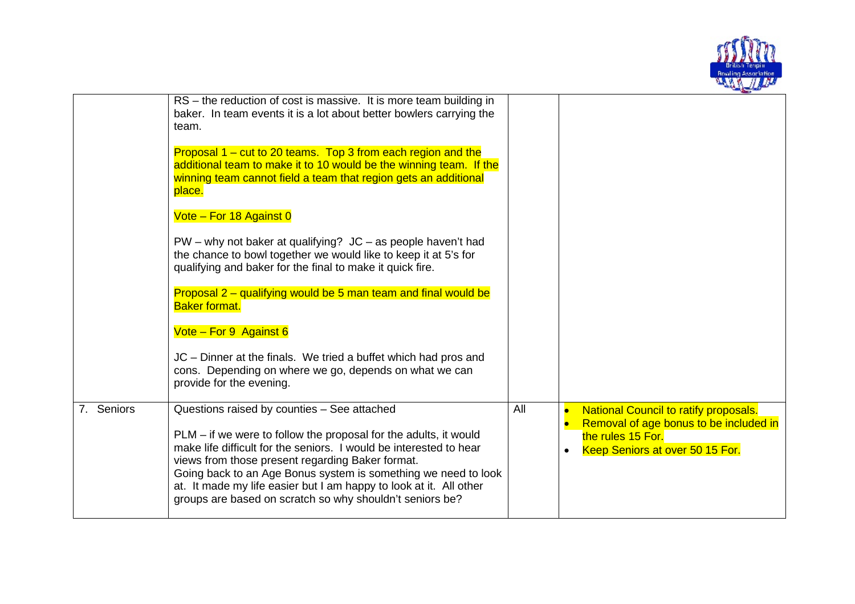

|            | RS - the reduction of cost is massive. It is more team building in<br>baker. In team events it is a lot about better bowlers carrying the<br>team.                                                                                                                                                                                                                                                                                            |     |                                                                                                                                                             |
|------------|-----------------------------------------------------------------------------------------------------------------------------------------------------------------------------------------------------------------------------------------------------------------------------------------------------------------------------------------------------------------------------------------------------------------------------------------------|-----|-------------------------------------------------------------------------------------------------------------------------------------------------------------|
|            | Proposal 1 – cut to 20 teams. Top 3 from each region and the<br>additional team to make it to 10 would be the winning team. If the<br>winning team cannot field a team that region gets an additional<br>place.                                                                                                                                                                                                                               |     |                                                                                                                                                             |
|            | Vote - For 18 Against 0                                                                                                                                                                                                                                                                                                                                                                                                                       |     |                                                                                                                                                             |
|            | $PW - why$ not baker at qualifying? $JC - as$ people haven't had<br>the chance to bowl together we would like to keep it at 5's for<br>qualifying and baker for the final to make it quick fire.                                                                                                                                                                                                                                              |     |                                                                                                                                                             |
|            | Proposal 2 – qualifying would be 5 man team and final would be<br><b>Baker format.</b>                                                                                                                                                                                                                                                                                                                                                        |     |                                                                                                                                                             |
|            | Vote - For 9 Against 6                                                                                                                                                                                                                                                                                                                                                                                                                        |     |                                                                                                                                                             |
|            | JC - Dinner at the finals. We tried a buffet which had pros and<br>cons. Depending on where we go, depends on what we can<br>provide for the evening.                                                                                                                                                                                                                                                                                         |     |                                                                                                                                                             |
| 7. Seniors | Questions raised by counties - See attached<br>PLM - if we were to follow the proposal for the adults, it would<br>make life difficult for the seniors. I would be interested to hear<br>views from those present regarding Baker format.<br>Going back to an Age Bonus system is something we need to look<br>at. It made my life easier but I am happy to look at it. All other<br>groups are based on scratch so why shouldn't seniors be? | All | <b>National Council to ratify proposals.</b><br>Removal of age bonus to be included in<br>the rules 15 For.<br>Keep Seniors at over 50 15 For.<br>$\bullet$ |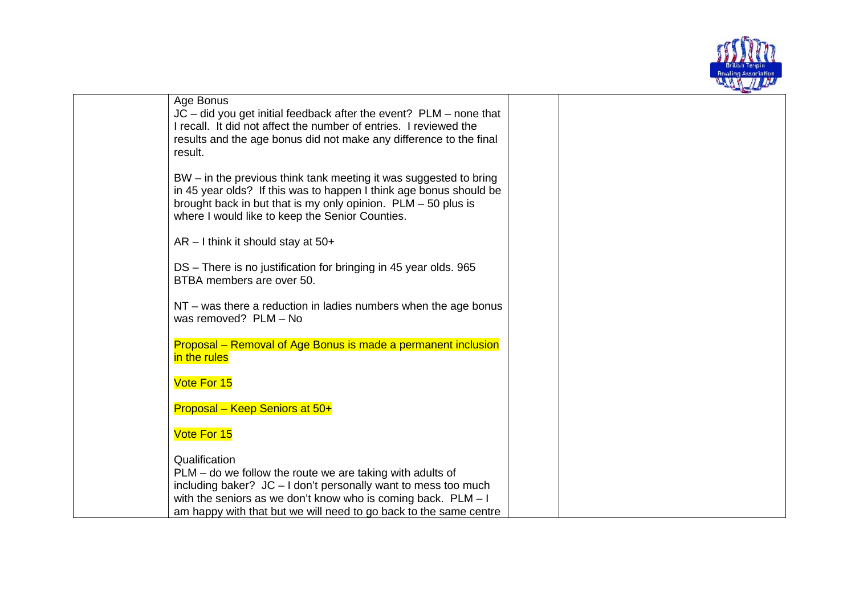

|                                                                      | معرضات |
|----------------------------------------------------------------------|--------|
| Age Bonus                                                            |        |
| $JC$ – did you get initial feedback after the event? PLM – none that |        |
| I recall. It did not affect the number of entries. I reviewed the    |        |
| results and the age bonus did not make any difference to the final   |        |
| result.                                                              |        |
| BW – in the previous think tank meeting it was suggested to bring    |        |
| in 45 year olds? If this was to happen I think age bonus should be   |        |
| brought back in but that is my only opinion. $PLM - 50$ plus is      |        |
| where I would like to keep the Senior Counties.                      |        |
|                                                                      |        |
| $AR - I$ think it should stay at 50+                                 |        |
|                                                                      |        |
| DS - There is no justification for bringing in 45 year olds. 965     |        |
| BTBA members are over 50.                                            |        |
| $NT$ – was there a reduction in ladies numbers when the age bonus    |        |
| was removed? PLM - No                                                |        |
|                                                                      |        |
| Proposal – Removal of Age Bonus is made a permanent inclusion        |        |
| in the rules                                                         |        |
|                                                                      |        |
| Vote For 15                                                          |        |
| Proposal - Keep Seniors at 50+                                       |        |
|                                                                      |        |
| Vote For 15                                                          |        |
|                                                                      |        |
| Qualification                                                        |        |
| $PLM -$ do we follow the route we are taking with adults of          |        |
| including baker? JC - I don't personally want to mess too much       |        |
| with the seniors as we don't know who is coming back. $PLM - I$      |        |
| am happy with that but we will need to go back to the same centre    |        |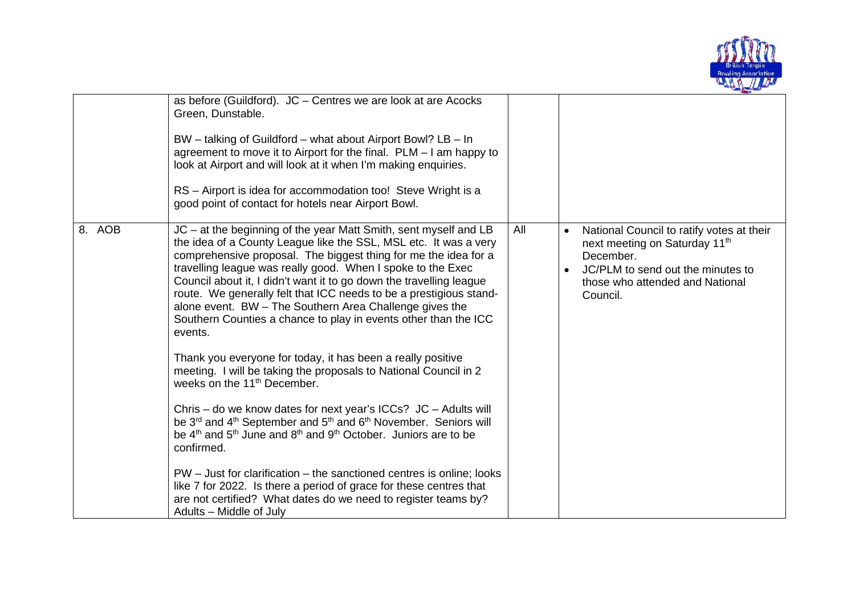

|        | as before (Guildford). $JC$ – Centres we are look at are Acocks<br>Green, Dunstable.<br>BW – talking of Guildford – what about Airport Bowl? LB – In<br>agreement to move it to Airport for the final. $PLM - I$ am happy to<br>look at Airport and will look at it when I'm making enquiries.<br>RS - Airport is idea for accommodation too! Steve Wright is a<br>good point of contact for hotels near Airport Bowl.                                                                                                                                                                                                                                                                                                                                                                                                                                                                                                                                                                                                                                                                                                                                                                                                                                               |     |                                                                                                                                                                                                      |
|--------|----------------------------------------------------------------------------------------------------------------------------------------------------------------------------------------------------------------------------------------------------------------------------------------------------------------------------------------------------------------------------------------------------------------------------------------------------------------------------------------------------------------------------------------------------------------------------------------------------------------------------------------------------------------------------------------------------------------------------------------------------------------------------------------------------------------------------------------------------------------------------------------------------------------------------------------------------------------------------------------------------------------------------------------------------------------------------------------------------------------------------------------------------------------------------------------------------------------------------------------------------------------------|-----|------------------------------------------------------------------------------------------------------------------------------------------------------------------------------------------------------|
| 8. AOB | JC - at the beginning of the year Matt Smith, sent myself and LB<br>the idea of a County League like the SSL, MSL etc. It was a very<br>comprehensive proposal. The biggest thing for me the idea for a<br>travelling league was really good. When I spoke to the Exec<br>Council about it, I didn't want it to go down the travelling league<br>route. We generally felt that ICC needs to be a prestigious stand-<br>alone event. BW - The Southern Area Challenge gives the<br>Southern Counties a chance to play in events other than the ICC<br>events.<br>Thank you everyone for today, it has been a really positive<br>meeting. I will be taking the proposals to National Council in 2<br>weeks on the 11 <sup>th</sup> December.<br>Chris – do we know dates for next year's ICCs? JC – Adults will<br>be 3 <sup>rd</sup> and 4 <sup>th</sup> September and 5 <sup>th</sup> and 6 <sup>th</sup> November. Seniors will<br>be $4th$ and $5th$ June and $8th$ and $9th$ October. Juniors are to be<br>confirmed.<br>PW - Just for clarification - the sanctioned centres is online; looks<br>like 7 for 2022. Is there a period of grace for these centres that<br>are not certified? What dates do we need to register teams by?<br>Adults – Middle of July | All | National Council to ratify votes at their<br>$\bullet$<br>next meeting on Saturday 11 <sup>th</sup><br>December.<br>JC/PLM to send out the minutes to<br>those who attended and National<br>Council. |